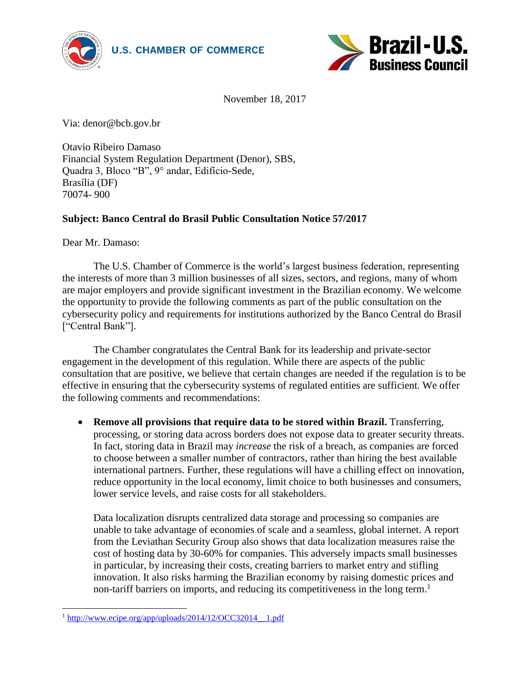



November 18, 2017

Via: denor@bcb.gov.br

Otavio Ribeiro Damaso Financial System Regulation Department (Denor), SBS, Quadra 3, Bloco "B", 9° andar, Edifício-Sede, Brasília (DF) 70074- 900

## **Subject: Banco Central do Brasil Public Consultation Notice 57/2017**

Dear Mr. Damaso:

The U.S. Chamber of Commerce is the world's largest business federation, representing the interests of more than 3 million businesses of all sizes, sectors, and regions, many of whom are major employers and provide significant investment in the Brazilian economy. We welcome the opportunity to provide the following comments as part of the public consultation on the cybersecurity policy and requirements for institutions authorized by the Banco Central do Brasil ["Central Bank"].

The Chamber congratulates the Central Bank for its leadership and private-sector engagement in the development of this regulation. While there are aspects of the public consultation that are positive, we believe that certain changes are needed if the regulation is to be effective in ensuring that the cybersecurity systems of regulated entities are sufficient. We offer the following comments and recommendations:

**• Remove all provisions that require data to be stored within Brazil.** Transferring, processing, or storing data across borders does not expose data to greater security threats. In fact, storing data in Brazil may *increase* the risk of a breach, as companies are forced to choose between a smaller number of contractors, rather than hiring the best available international partners. Further, these regulations will have a chilling effect on innovation, reduce opportunity in the local economy, limit choice to both businesses and consumers, lower service levels, and raise costs for all stakeholders.

Data localization disrupts centralized data storage and processing so companies are unable to take advantage of economies of scale and a seamless, global internet. A report from the Leviathan Security Group also shows that data localization measures raise the cost of hosting data by 30-60% for companies. This adversely impacts small businesses in particular, by increasing their costs, creating barriers to market entry and stifling innovation. It also risks harming the Brazilian economy by raising domestic prices and non-tariff barriers on imports, and reducing its competitiveness in the long term.<sup>1</sup>

 <sup>1</sup> [http://www.ecipe.org/app/uploads/2014/12/OCC32014\\_\\_1.pdf](http://www.ecipe.org/app/uploads/2014/12/OCC32014__1.pdf)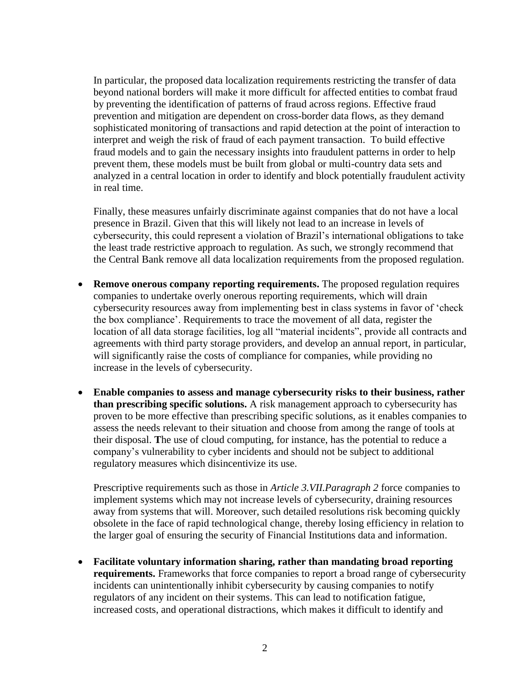In particular, the proposed data localization requirements restricting the transfer of data beyond national borders will make it more difficult for affected entities to combat fraud by preventing the identification of patterns of fraud across regions. Effective fraud prevention and mitigation are dependent on cross-border data flows, as they demand sophisticated monitoring of transactions and rapid detection at the point of interaction to interpret and weigh the risk of fraud of each payment transaction. To build effective fraud models and to gain the necessary insights into fraudulent patterns in order to help prevent them, these models must be built from global or multi-country data sets and analyzed in a central location in order to identify and block potentially fraudulent activity in real time.

Finally, these measures unfairly discriminate against companies that do not have a local presence in Brazil. Given that this will likely not lead to an increase in levels of cybersecurity, this could represent a violation of Brazil's international obligations to take the least trade restrictive approach to regulation. As such, we strongly recommend that the Central Bank remove all data localization requirements from the proposed regulation.

- **Remove onerous company reporting requirements.** The proposed regulation requires companies to undertake overly onerous reporting requirements, which will drain cybersecurity resources away from implementing best in class systems in favor of 'check the box compliance'. Requirements to trace the movement of all data, register the location of all data storage facilities, log all "material incidents", provide all contracts and agreements with third party storage providers, and develop an annual report, in particular, will significantly raise the costs of compliance for companies, while providing no increase in the levels of cybersecurity.
- **Enable companies to assess and manage cybersecurity risks to their business, rather than prescribing specific solutions.** A risk management approach to cybersecurity has proven to be more effective than prescribing specific solutions, as it enables companies to assess the needs relevant to their situation and choose from among the range of tools at their disposal. **T**he use of cloud computing, for instance, has the potential to reduce a company's vulnerability to cyber incidents and should not be subject to additional regulatory measures which disincentivize its use.

Prescriptive requirements such as those in *Article 3.VII.Paragraph 2* force companies to implement systems which may not increase levels of cybersecurity, draining resources away from systems that will. Moreover, such detailed resolutions risk becoming quickly obsolete in the face of rapid technological change, thereby losing efficiency in relation to the larger goal of ensuring the security of Financial Institutions data and information.

 **Facilitate voluntary information sharing, rather than mandating broad reporting requirements.** Frameworks that force companies to report a broad range of cybersecurity incidents can unintentionally inhibit cybersecurity by causing companies to notify regulators of any incident on their systems. This can lead to notification fatigue, increased costs, and operational distractions, which makes it difficult to identify and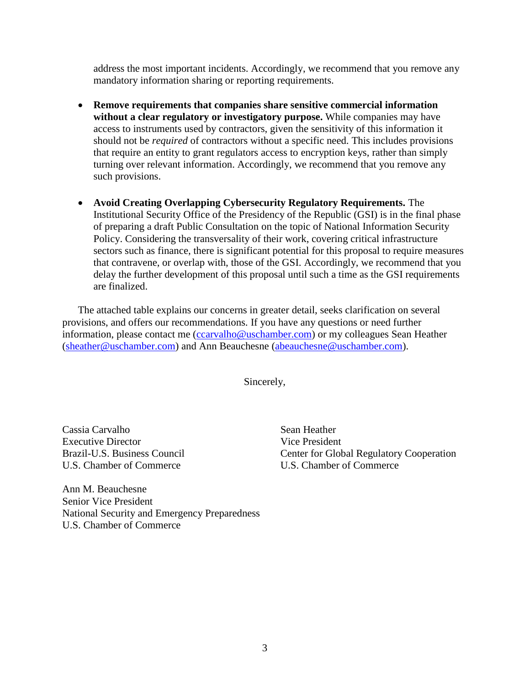address the most important incidents. Accordingly, we recommend that you remove any mandatory information sharing or reporting requirements.

- **Remove requirements that companies share sensitive commercial information without a clear regulatory or investigatory purpose.** While companies may have access to instruments used by contractors, given the sensitivity of this information it should not be *required* of contractors without a specific need. This includes provisions that require an entity to grant regulators access to encryption keys, rather than simply turning over relevant information. Accordingly, we recommend that you remove any such provisions.
- **Avoid Creating Overlapping Cybersecurity Regulatory Requirements.** The Institutional Security Office of the Presidency of the Republic (GSI) is in the final phase of preparing a draft Public Consultation on the topic of National Information Security Policy. Considering the transversality of their work, covering critical infrastructure sectors such as finance, there is significant potential for this proposal to require measures that contravene, or overlap with, those of the GSI. Accordingly, we recommend that you delay the further development of this proposal until such a time as the GSI requirements are finalized.

The attached table explains our concerns in greater detail, seeks clarification on several provisions, and offers our recommendations. If you have any questions or need further information, please contact me [\(ccarvalho@uschamber.com\)](mailto:ccarvalho@uschamber.com) or my colleagues Sean Heather [\(sheather@uschamber.com\)](mailto:sheather@uschamber.com) and Ann Beauchesne [\(abeauchesne@uschamber.com\)](mailto:abeauchesne@uschamber.com).

Sincerely,

Cassia Carvalho Sean Heather Executive Director Vice President U.S. Chamber of Commerce U.S. Chamber of Commerce

Brazil-U.S. Business Council Center for Global Regulatory Cooperation

Ann M. Beauchesne Senior Vice President National Security and Emergency Preparedness U.S. Chamber of Commerce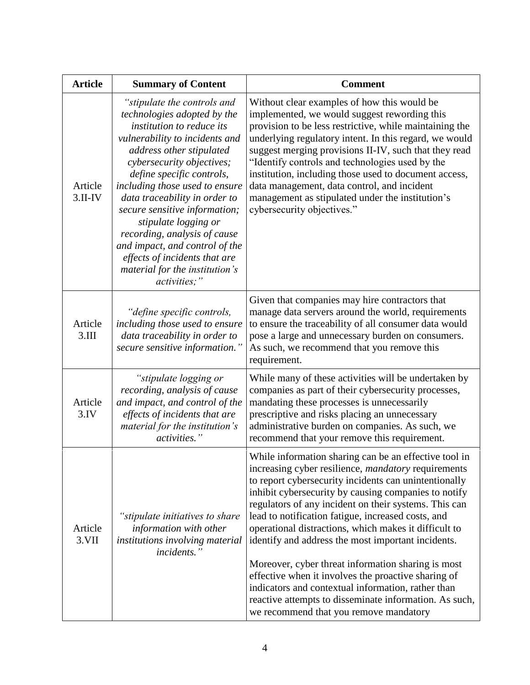| <b>Article</b>       | <b>Summary of Content</b>                                                                                                                                                                                                                                                                                                                                                                                                                                                                        | <b>Comment</b>                                                                                                                                                                                                                                                                                                                                                                                                                                                                                                                                                                                                                                                                                                                            |
|----------------------|--------------------------------------------------------------------------------------------------------------------------------------------------------------------------------------------------------------------------------------------------------------------------------------------------------------------------------------------------------------------------------------------------------------------------------------------------------------------------------------------------|-------------------------------------------------------------------------------------------------------------------------------------------------------------------------------------------------------------------------------------------------------------------------------------------------------------------------------------------------------------------------------------------------------------------------------------------------------------------------------------------------------------------------------------------------------------------------------------------------------------------------------------------------------------------------------------------------------------------------------------------|
| Article<br>$3.II-IV$ | "stipulate the controls and<br>technologies adopted by the<br>institution to reduce its<br>vulnerability to incidents and<br>address other stipulated<br>cybersecurity objectives;<br>define specific controls,<br>including those used to ensure<br>data traceability in order to<br>secure sensitive information;<br>stipulate logging or<br>recording, analysis of cause<br>and impact, and control of the<br>effects of incidents that are<br>material for the institution's<br>activities;" | Without clear examples of how this would be<br>implemented, we would suggest rewording this<br>provision to be less restrictive, while maintaining the<br>underlying regulatory intent. In this regard, we would<br>suggest merging provisions II-IV, such that they read<br>"Identify controls and technologies used by the<br>institution, including those used to document access,<br>data management, data control, and incident<br>management as stipulated under the institution's<br>cybersecurity objectives."                                                                                                                                                                                                                    |
| Article<br>3.III     | "define specific controls,<br>including those used to ensure<br>data traceability in order to<br>secure sensitive information."                                                                                                                                                                                                                                                                                                                                                                  | Given that companies may hire contractors that<br>manage data servers around the world, requirements<br>to ensure the traceability of all consumer data would<br>pose a large and unnecessary burden on consumers.<br>As such, we recommend that you remove this<br>requirement.                                                                                                                                                                                                                                                                                                                                                                                                                                                          |
| Article<br>3.IV      | "stipulate logging or<br>recording, analysis of cause<br>and impact, and control of the<br>effects of incidents that are<br>material for the institution's<br><i>activities.</i> "                                                                                                                                                                                                                                                                                                               | While many of these activities will be undertaken by<br>companies as part of their cybersecurity processes,<br>mandating these processes is unnecessarily<br>prescriptive and risks placing an unnecessary<br>administrative burden on companies. As such, we<br>recommend that your remove this requirement.                                                                                                                                                                                                                                                                                                                                                                                                                             |
| Article<br>3.VII     | "stipulate initiatives to share<br>information with other<br>institutions involving material<br><i>incidents.</i> "                                                                                                                                                                                                                                                                                                                                                                              | While information sharing can be an effective tool in<br>increasing cyber resilience, <i>mandatory</i> requirements<br>to report cybersecurity incidents can unintentionally<br>inhibit cybersecurity by causing companies to notify<br>regulators of any incident on their systems. This can<br>lead to notification fatigue, increased costs, and<br>operational distractions, which makes it difficult to<br>identify and address the most important incidents.<br>Moreover, cyber threat information sharing is most<br>effective when it involves the proactive sharing of<br>indicators and contextual information, rather than<br>reactive attempts to disseminate information. As such,<br>we recommend that you remove mandatory |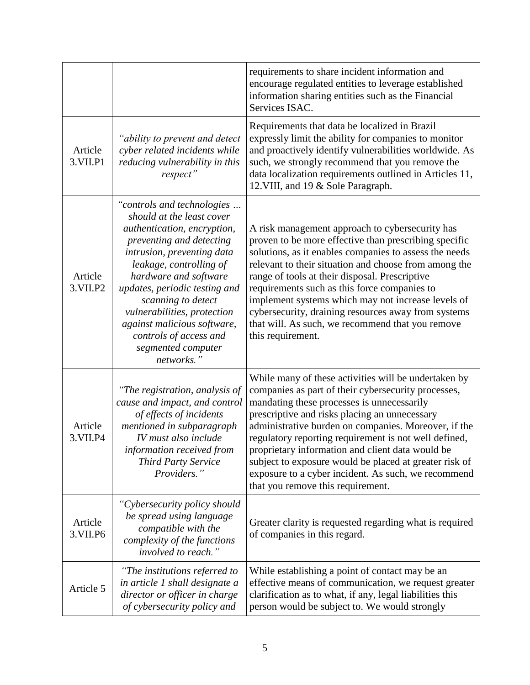|                       |                                                                                                                                                                                                                                                                                                                                                                                         | requirements to share incident information and<br>encourage regulated entities to leverage established<br>information sharing entities such as the Financial<br>Services ISAC.                                                                                                                                                                                                                                                                                                                                                        |
|-----------------------|-----------------------------------------------------------------------------------------------------------------------------------------------------------------------------------------------------------------------------------------------------------------------------------------------------------------------------------------------------------------------------------------|---------------------------------------------------------------------------------------------------------------------------------------------------------------------------------------------------------------------------------------------------------------------------------------------------------------------------------------------------------------------------------------------------------------------------------------------------------------------------------------------------------------------------------------|
| Article<br>3. VII. P1 | "ability to prevent and detect<br>cyber related incidents while<br>reducing vulnerability in this<br>respect"                                                                                                                                                                                                                                                                           | Requirements that data be localized in Brazil<br>expressly limit the ability for companies to monitor<br>and proactively identify vulnerabilities worldwide. As<br>such, we strongly recommend that you remove the<br>data localization requirements outlined in Articles 11,<br>12. VIII, and 19 & Sole Paragraph.                                                                                                                                                                                                                   |
| Article<br>3. VII. P2 | "controls and technologies<br>should at the least cover<br>authentication, encryption,<br>preventing and detecting<br>intrusion, preventing data<br>leakage, controlling of<br>hardware and software<br>updates, periodic testing and<br>scanning to detect<br>vulnerabilities, protection<br>against malicious software,<br>controls of access and<br>segmented computer<br>networks." | A risk management approach to cybersecurity has<br>proven to be more effective than prescribing specific<br>solutions, as it enables companies to assess the needs<br>relevant to their situation and choose from among the<br>range of tools at their disposal. Prescriptive<br>requirements such as this force companies to<br>implement systems which may not increase levels of<br>cybersecurity, draining resources away from systems<br>that will. As such, we recommend that you remove<br>this requirement.                   |
| Article<br>3. VII. P4 | "The registration, analysis of<br>cause and impact, and control<br>of effects of incidents<br>mentioned in subparagraph<br>IV must also include<br>information received from<br><b>Third Party Service</b><br>Providers."                                                                                                                                                               | While many of these activities will be undertaken by<br>companies as part of their cybersecurity processes,<br>mandating these processes is unnecessarily<br>prescriptive and risks placing an unnecessary<br>administrative burden on companies. Moreover, if the<br>regulatory reporting requirement is not well defined,<br>proprietary information and client data would be<br>subject to exposure would be placed at greater risk of<br>exposure to a cyber incident. As such, we recommend<br>that you remove this requirement. |
| Article<br>3. VII. P6 | "Cybersecurity policy should<br>be spread using language<br>compatible with the<br>complexity of the functions<br>involved to reach."                                                                                                                                                                                                                                                   | Greater clarity is requested regarding what is required<br>of companies in this regard.                                                                                                                                                                                                                                                                                                                                                                                                                                               |
| Article 5             | "The institutions referred to<br>in article 1 shall designate a<br>director or officer in charge<br>of cybersecurity policy and                                                                                                                                                                                                                                                         | While establishing a point of contact may be an<br>effective means of communication, we request greater<br>clarification as to what, if any, legal liabilities this<br>person would be subject to. We would strongly                                                                                                                                                                                                                                                                                                                  |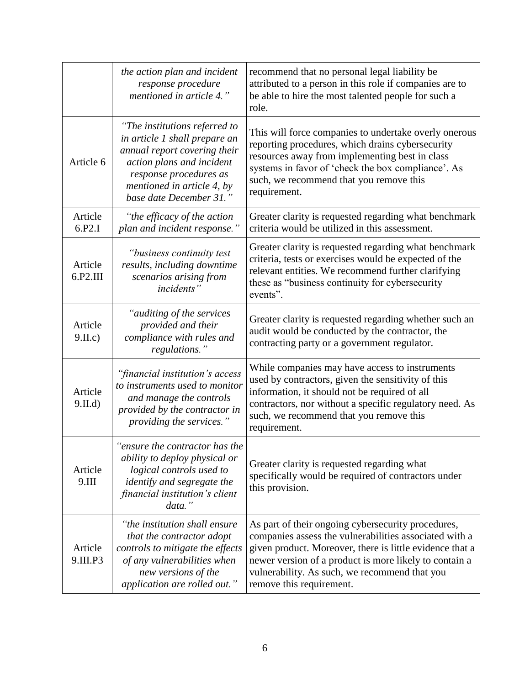|                     | the action plan and incident<br>response procedure<br>mentioned in article 4."                                                                                                                                 | recommend that no personal legal liability be<br>attributed to a person in this role if companies are to<br>be able to hire the most talented people for such a<br>role.                                                                                                                                        |
|---------------------|----------------------------------------------------------------------------------------------------------------------------------------------------------------------------------------------------------------|-----------------------------------------------------------------------------------------------------------------------------------------------------------------------------------------------------------------------------------------------------------------------------------------------------------------|
| Article 6           | "The institutions referred to<br>in article 1 shall prepare an<br>annual report covering their<br>action plans and incident<br>response procedures as<br>mentioned in article 4, by<br>base date December 31." | This will force companies to undertake overly onerous<br>reporting procedures, which drains cybersecurity<br>resources away from implementing best in class<br>systems in favor of 'check the box compliance'. As<br>such, we recommend that you remove this<br>requirement.                                    |
| Article<br>6.P2.I   | "the efficacy of the action<br>plan and incident response."                                                                                                                                                    | Greater clarity is requested regarding what benchmark<br>criteria would be utilized in this assessment.                                                                                                                                                                                                         |
| Article<br>6.P2.III | "business continuity test<br>results, including downtime<br>scenarios arising from<br><i>incidents</i> "                                                                                                       | Greater clarity is requested regarding what benchmark<br>criteria, tests or exercises would be expected of the<br>relevant entities. We recommend further clarifying<br>these as "business continuity for cybersecurity<br>events".                                                                             |
| Article<br>9.II.c)  | "auditing of the services<br>provided and their<br>compliance with rules and<br>regulations."                                                                                                                  | Greater clarity is requested regarding whether such an<br>audit would be conducted by the contractor, the<br>contracting party or a government regulator.                                                                                                                                                       |
| Article<br>9.II.d   | "financial institution's access<br>to instruments used to monitor<br>and manage the controls<br>provided by the contractor in<br>providing the services."                                                      | While companies may have access to instruments<br>used by contractors, given the sensitivity of this<br>information, it should not be required of all<br>contractors, nor without a specific regulatory need. As<br>such, we recommend that you remove this<br>requirement.                                     |
| Article<br>9.III    | "ensure the contractor has the<br>ability to deploy physical or<br>logical controls used to<br>identify and segregate the<br>financial institution's client<br>data."                                          | Greater clarity is requested regarding what<br>specifically would be required of contractors under<br>this provision.                                                                                                                                                                                           |
| Article<br>9.III.P3 | "the institution shall ensure<br>that the contractor adopt<br>controls to mitigate the effects<br>of any vulnerabilities when<br>new versions of the<br>application are rolled out."                           | As part of their ongoing cybersecurity procedures,<br>companies assess the vulnerabilities associated with a<br>given product. Moreover, there is little evidence that a<br>newer version of a product is more likely to contain a<br>vulnerability. As such, we recommend that you<br>remove this requirement. |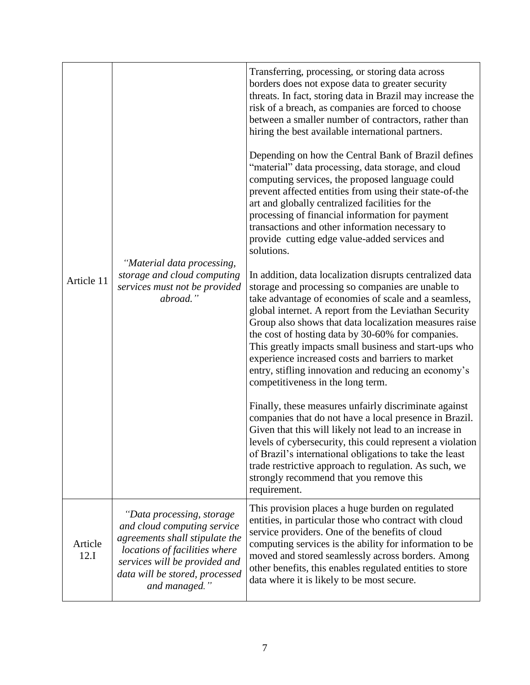| Article 11      | "Material data processing,<br>storage and cloud computing<br>services must not be provided<br>abroad."                                                                                                          | Transferring, processing, or storing data across<br>borders does not expose data to greater security<br>threats. In fact, storing data in Brazil may increase the<br>risk of a breach, as companies are forced to choose<br>between a smaller number of contractors, rather than<br>hiring the best available international partners.<br>Depending on how the Central Bank of Brazil defines<br>"material" data processing, data storage, and cloud<br>computing services, the proposed language could<br>prevent affected entities from using their state-of-the<br>art and globally centralized facilities for the<br>processing of financial information for payment<br>transactions and other information necessary to<br>provide cutting edge value-added services and<br>solutions. |
|-----------------|-----------------------------------------------------------------------------------------------------------------------------------------------------------------------------------------------------------------|-------------------------------------------------------------------------------------------------------------------------------------------------------------------------------------------------------------------------------------------------------------------------------------------------------------------------------------------------------------------------------------------------------------------------------------------------------------------------------------------------------------------------------------------------------------------------------------------------------------------------------------------------------------------------------------------------------------------------------------------------------------------------------------------|
|                 |                                                                                                                                                                                                                 | In addition, data localization disrupts centralized data<br>storage and processing so companies are unable to<br>take advantage of economies of scale and a seamless,<br>global internet. A report from the Leviathan Security<br>Group also shows that data localization measures raise<br>the cost of hosting data by 30-60% for companies.<br>This greatly impacts small business and start-ups who<br>experience increased costs and barriers to market<br>entry, stifling innovation and reducing an economy's<br>competitiveness in the long term.                                                                                                                                                                                                                                  |
|                 |                                                                                                                                                                                                                 | Finally, these measures unfairly discriminate against<br>companies that do not have a local presence in Brazil.<br>Given that this will likely not lead to an increase in<br>levels of cybersecurity, this could represent a violation<br>of Brazil's international obligations to take the least<br>trade restrictive approach to regulation. As such, we<br>strongly recommend that you remove this<br>requirement.                                                                                                                                                                                                                                                                                                                                                                     |
| Article<br>12.I | "Data processing, storage<br>and cloud computing service<br>agreements shall stipulate the<br>locations of facilities where<br>services will be provided and<br>data will be stored, processed<br>and managed." | This provision places a huge burden on regulated<br>entities, in particular those who contract with cloud<br>service providers. One of the benefits of cloud<br>computing services is the ability for information to be<br>moved and stored seamlessly across borders. Among<br>other benefits, this enables regulated entities to store<br>data where it is likely to be most secure.                                                                                                                                                                                                                                                                                                                                                                                                    |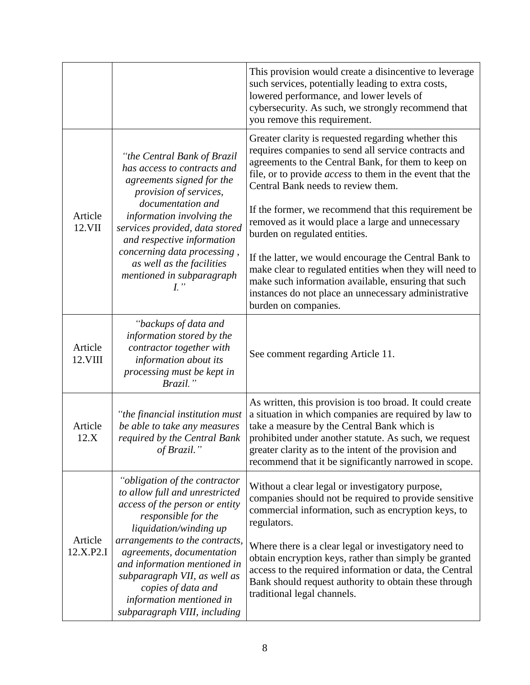|                      |                                                                                                                                                                                                                                                                                                                                                                     | This provision would create a disincentive to leverage<br>such services, potentially leading to extra costs,<br>lowered performance, and lower levels of<br>cybersecurity. As such, we strongly recommend that<br>you remove this requirement.                                                                                                                                                                                                                                                                                                                                                                                                                                       |
|----------------------|---------------------------------------------------------------------------------------------------------------------------------------------------------------------------------------------------------------------------------------------------------------------------------------------------------------------------------------------------------------------|--------------------------------------------------------------------------------------------------------------------------------------------------------------------------------------------------------------------------------------------------------------------------------------------------------------------------------------------------------------------------------------------------------------------------------------------------------------------------------------------------------------------------------------------------------------------------------------------------------------------------------------------------------------------------------------|
| Article<br>12.VII    | "the Central Bank of Brazil<br>has access to contracts and<br>agreements signed for the<br>provision of services,<br>documentation and<br>information involving the<br>services provided, data stored<br>and respective information<br>concerning data processing,<br>as well as the facilities<br>mentioned in subparagraph<br>L''                                 | Greater clarity is requested regarding whether this<br>requires companies to send all service contracts and<br>agreements to the Central Bank, for them to keep on<br>file, or to provide <i>access</i> to them in the event that the<br>Central Bank needs to review them.<br>If the former, we recommend that this requirement be<br>removed as it would place a large and unnecessary<br>burden on regulated entities.<br>If the latter, we would encourage the Central Bank to<br>make clear to regulated entities when they will need to<br>make such information available, ensuring that such<br>instances do not place an unnecessary administrative<br>burden on companies. |
| Article<br>12.VIII   | "backups of data and<br>information stored by the<br>contractor together with<br>information about its<br>processing must be kept in<br>Brazil."                                                                                                                                                                                                                    | See comment regarding Article 11.                                                                                                                                                                                                                                                                                                                                                                                                                                                                                                                                                                                                                                                    |
| Article<br>12.X      | "the financial institution must<br>be able to take any measures<br>required by the Central Bank<br>of Brazil.''                                                                                                                                                                                                                                                     | As written, this provision is too broad. It could create<br>a situation in which companies are required by law to<br>take a measure by the Central Bank which is<br>prohibited under another statute. As such, we request<br>greater clarity as to the intent of the provision and<br>recommend that it be significantly narrowed in scope.                                                                                                                                                                                                                                                                                                                                          |
| Article<br>12.X.P2.I | "obligation of the contractor<br>to allow full and unrestricted<br>access of the person or entity<br>responsible for the<br>liquidation/winding up<br>arrangements to the contracts,<br>agreements, documentation<br>and information mentioned in<br>subparagraph VII, as well as<br>copies of data and<br>information mentioned in<br>subparagraph VIII, including | Without a clear legal or investigatory purpose,<br>companies should not be required to provide sensitive<br>commercial information, such as encryption keys, to<br>regulators.<br>Where there is a clear legal or investigatory need to<br>obtain encryption keys, rather than simply be granted<br>access to the required information or data, the Central<br>Bank should request authority to obtain these through<br>traditional legal channels.                                                                                                                                                                                                                                  |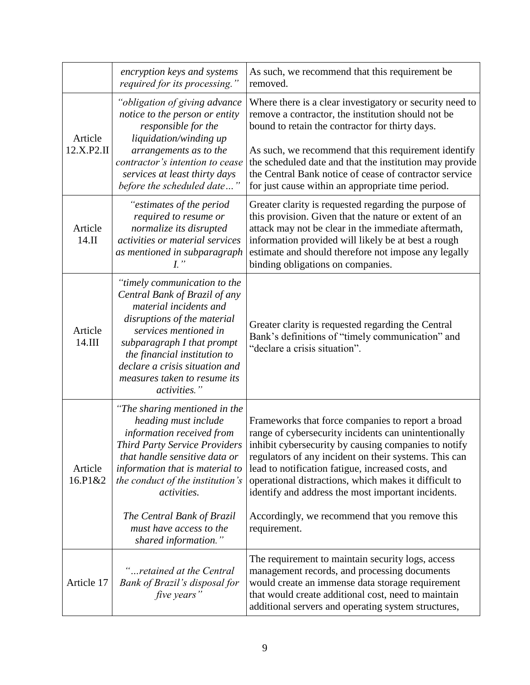|                       | encryption keys and systems<br>required for its processing."                                                                                                                                                                                                                                               | As such, we recommend that this requirement be<br>removed.                                                                                                                                                                                                                                                                                                                                                                                                        |
|-----------------------|------------------------------------------------------------------------------------------------------------------------------------------------------------------------------------------------------------------------------------------------------------------------------------------------------------|-------------------------------------------------------------------------------------------------------------------------------------------------------------------------------------------------------------------------------------------------------------------------------------------------------------------------------------------------------------------------------------------------------------------------------------------------------------------|
| Article<br>12.X.P2.II | "obligation of giving advance<br>notice to the person or entity<br>responsible for the<br>liquidation/winding up<br>arrangements as to the<br>contractor's intention to cease<br>services at least thirty days<br>before the scheduled date"                                                               | Where there is a clear investigatory or security need to<br>remove a contractor, the institution should not be<br>bound to retain the contractor for thirty days.<br>As such, we recommend that this requirement identify<br>the scheduled date and that the institution may provide<br>the Central Bank notice of cease of contractor service<br>for just cause within an appropriate time period.                                                               |
| Article<br>14.II      | "estimates of the period<br>required to resume or<br>normalize its disrupted<br>activities or material services<br>as mentioned in subparagraph<br>$I$ "                                                                                                                                                   | Greater clarity is requested regarding the purpose of<br>this provision. Given that the nature or extent of an<br>attack may not be clear in the immediate aftermath,<br>information provided will likely be at best a rough<br>estimate and should therefore not impose any legally<br>binding obligations on companies.                                                                                                                                         |
| Article<br>14.III     | "timely communication to the<br>Central Bank of Brazil of any<br>material incidents and<br>disruptions of the material<br>services mentioned in<br>subparagraph I that prompt<br>the financial institution to<br>declare a crisis situation and<br>measures taken to resume its<br>activities."            | Greater clarity is requested regarding the Central<br>Bank's definitions of "timely communication" and<br>"declare a crisis situation".                                                                                                                                                                                                                                                                                                                           |
| Article<br>16.P1&2    | "The sharing mentioned in the<br>heading must include<br>information received from<br><b>Third Party Service Providers</b><br>that handle sensitive data or<br>information that is material to<br>the conduct of the institution's<br>activities.<br>The Central Bank of Brazil<br>must have access to the | Frameworks that force companies to report a broad<br>range of cybersecurity incidents can unintentionally<br>inhibit cybersecurity by causing companies to notify<br>regulators of any incident on their systems. This can<br>lead to notification fatigue, increased costs, and<br>operational distractions, which makes it difficult to<br>identify and address the most important incidents.<br>Accordingly, we recommend that you remove this<br>requirement. |
| Article 17            | shared information."<br>"retained at the Central<br>Bank of Brazil's disposal for<br>five years"                                                                                                                                                                                                           | The requirement to maintain security logs, access<br>management records, and processing documents<br>would create an immense data storage requirement<br>that would create additional cost, need to maintain<br>additional servers and operating system structures,                                                                                                                                                                                               |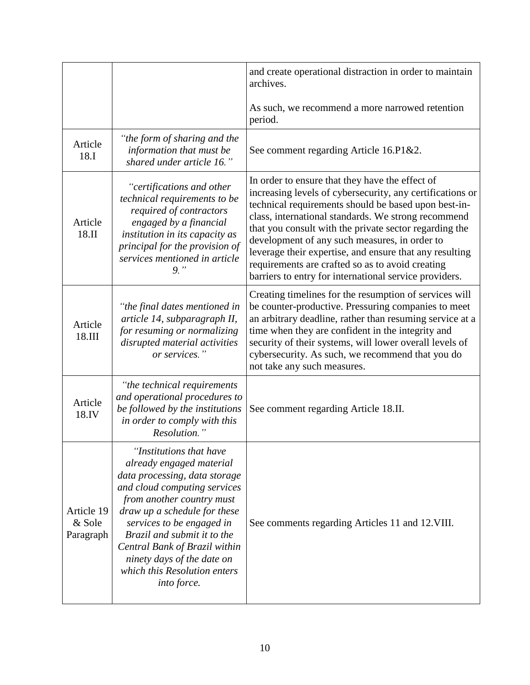|                                   |                                                                                                                                                                                                                                                                                                                                                             | and create operational distraction in order to maintain<br>archives.                                                                                                                                                                                                                                                                                                                                                                                                                                            |
|-----------------------------------|-------------------------------------------------------------------------------------------------------------------------------------------------------------------------------------------------------------------------------------------------------------------------------------------------------------------------------------------------------------|-----------------------------------------------------------------------------------------------------------------------------------------------------------------------------------------------------------------------------------------------------------------------------------------------------------------------------------------------------------------------------------------------------------------------------------------------------------------------------------------------------------------|
|                                   |                                                                                                                                                                                                                                                                                                                                                             | As such, we recommend a more narrowed retention<br>period.                                                                                                                                                                                                                                                                                                                                                                                                                                                      |
| Article<br>18.I                   | "the form of sharing and the<br>information that must be<br>shared under article 16."                                                                                                                                                                                                                                                                       | See comment regarding Article 16.P1&2.                                                                                                                                                                                                                                                                                                                                                                                                                                                                          |
| Article<br>18.II                  | "certifications and other<br>technical requirements to be<br>required of contractors<br>engaged by a financial<br>institution in its capacity as<br>principal for the provision of<br>services mentioned in article<br>$9,$ "                                                                                                                               | In order to ensure that they have the effect of<br>increasing levels of cybersecurity, any certifications or<br>technical requirements should be based upon best-in-<br>class, international standards. We strong recommend<br>that you consult with the private sector regarding the<br>development of any such measures, in order to<br>leverage their expertise, and ensure that any resulting<br>requirements are crafted so as to avoid creating<br>barriers to entry for international service providers. |
| Article<br>18.III                 | "the final dates mentioned in<br>article 14, subparagraph II,<br>for resuming or normalizing<br>disrupted material activities<br>or services."                                                                                                                                                                                                              | Creating timelines for the resumption of services will<br>be counter-productive. Pressuring companies to meet<br>an arbitrary deadline, rather than resuming service at a<br>time when they are confident in the integrity and<br>security of their systems, will lower overall levels of<br>cybersecurity. As such, we recommend that you do<br>not take any such measures.                                                                                                                                    |
| Article<br>18.IV                  | "the technical requirements"<br>and operational procedures to<br>be followed by the institutions<br>in order to comply with this<br>Resolution."                                                                                                                                                                                                            | See comment regarding Article 18.II.                                                                                                                                                                                                                                                                                                                                                                                                                                                                            |
| Article 19<br>& Sole<br>Paragraph | "Institutions that have<br>already engaged material<br>data processing, data storage<br>and cloud computing services<br>from another country must<br>draw up a schedule for these<br>services to be engaged in<br>Brazil and submit it to the<br>Central Bank of Brazil within<br>ninety days of the date on<br>which this Resolution enters<br>into force. | See comments regarding Articles 11 and 12. VIII.                                                                                                                                                                                                                                                                                                                                                                                                                                                                |